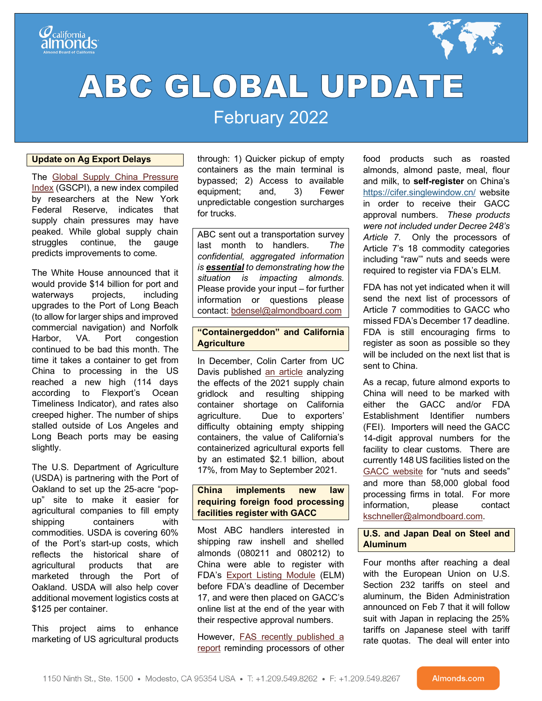

# **ABC GLOBAL UPDATE**

## February 2022

#### **Update on Ag Export Delays**

The [Global Supply China Pressure](https://libertystreeteconomics.newyorkfed.org/2022/01/a-new-barometer-of-global-supply-chain-pressures/)  [Index](https://libertystreeteconomics.newyorkfed.org/2022/01/a-new-barometer-of-global-supply-chain-pressures/) (GSCPI), a new index compiled by researchers at the New York Federal Reserve, indicates that supply chain pressures may have peaked. While global supply chain struggles continue, the gauge predicts improvements to come.

The White House announced that it would provide \$14 billion for port and waterways projects, including upgrades to the Port of Long Beach (to allow for larger ships and improved commercial navigation) and Norfolk Harbor, VA. Port congestion continued to be bad this month. The time it takes a container to get from China to processing in the US reached a new high (114 days according to Flexport's Ocean Timeliness Indicator), and rates also creeped higher. The number of ships stalled outside of Los Angeles and Long Beach ports may be easing slightly.

The U.S. Department of Agriculture (USDA) is partnering with the Port of Oakland to set up the 25-acre "popup" site to make it easier for agricultural companies to fill empty shipping containers with commodities. USDA is covering 60% of the Port's start-up costs, which reflects the historical share of agricultural products that are marketed through the Port of Oakland. USDA will also help cover additional movement logistics costs at \$125 per container.

This project aims to enhance marketing of US agricultural products through: 1) Quicker pickup of empty containers as the main terminal is bypassed; 2) Access to available equipment; and, 3) Fewer unpredictable congestion surcharges for trucks.

ABC sent out a transportation survey last month to handlers. *The confidential, aggregated information is essential to demonstrating how the situation is impacting almonds.*  Please provide your input – for further information or questions please contact: [bdensel@almondboard.com](mailto:bdensel@almondboard.com)

#### **"Containergeddon" and California Agriculture**

In December, Colin Carter from UC Davis published [an article](https://s.giannini.ucop.edu/uploads/pub/2021/12/20/v25n2_QjY8JJ1.pdf) analyzing the effects of the 2021 supply chain gridlock and resulting shipping container shortage on California agriculture. Due to exporters' difficulty obtaining empty shipping containers, the value of California's containerized agricultural exports fell by an estimated \$2.1 billion, about 17%, from May to September 2021.

#### **China implements new law requiring foreign food processing facilities register with GACC**

Most ABC handlers interested in shipping raw inshell and shelled almonds (080211 and 080212) to China were able to register with FDA's [Export Listing Module](https://www.fda.gov/media/112092/download) (ELM) before FDA's deadline of December 17, and were then placed on GACC's online list at the end of the year with their respective approval numbers.

However, [FAS recently published a](https://apps.fas.usda.gov/newgainapi/api/Report/DownloadReportByFileName?fileName=Verifying%20Decree%20248%20Facility%20Registration%20Information_Beijing_China%20-%20People%27s%20Republic%20of_01-17-2022)  [report](https://apps.fas.usda.gov/newgainapi/api/Report/DownloadReportByFileName?fileName=Verifying%20Decree%20248%20Facility%20Registration%20Information_Beijing_China%20-%20People%27s%20Republic%20of_01-17-2022) reminding processors of other

food products such as roasted almonds, almond paste, meal, flour and milk, to **self-register** on China's [https://cifer.singlewindow.cn/](https://nam11.safelinks.protection.outlook.com/?url=https%3A%2F%2Fprotect-us.mimecast.com%2Fs%2FnQvICmZgj2Cj34JBCYd6Y9%3Fdomain%3Dlnks.gd&data=04%7C01%7Cbng%40bdgrowers.com%7Cccb52324868748ee3b0108d9e4cdc6cf%7Cfc3d47786df24d33920a48b4cfcef53c%7C0%7C0%7C637792394722632862%7CUnknown%7CTWFpbGZsb3d8eyJWIjoiMC4wLjAwMDAiLCJQIjoiV2luMzIiLCJBTiI6Ik1haWwiLCJXVCI6Mn0%3D%7C3000&sdata=0p19bjHRSIM8%2FMDiy2%2F7c%2FwwPZct37%2BBpisUiEKi%2F5c%3D&reserved=0) website in order to receive their GACC approval numbers. *These products were not included under Decree 248's Article 7*. Only the processors of Article 7's 18 commodity categories including "raw'" nuts and seeds were required to register via FDA's ELM.

FDA has not yet indicated when it will send the next list of processors of Article 7 commodities to GACC who missed FDA's December 17 deadline. FDA is still encouraging firms to register as soon as possible so they will be included on the next list that is sent to China.

As a recap, future almond exports to China will need to be marked with either the GACC and/or FDA Establishment Identifier numbers (FEI). Importers will need the GACC 14-digit approval numbers for the facility to clear customs. There are currently 148 US facilities listed on the [GACC website](https://ciferquery.singlewindow.cn/) for "nuts and seeds" and more than 58,000 global food processing firms in total. For more information, please contact [kschneller@almondboard.com.](mailto:kschneller@almondboard.com)

#### **U.S. and Japan Deal on Steel and Aluminum**

Four months after reaching a deal with the European Union on U.S. Section 232 tariffs on steel and aluminum, the Biden Administration announced on Feb 7 that it will follow suit with Japan in replacing the 25% tariffs on Japanese steel with tariff rate quotas. The deal will enter into